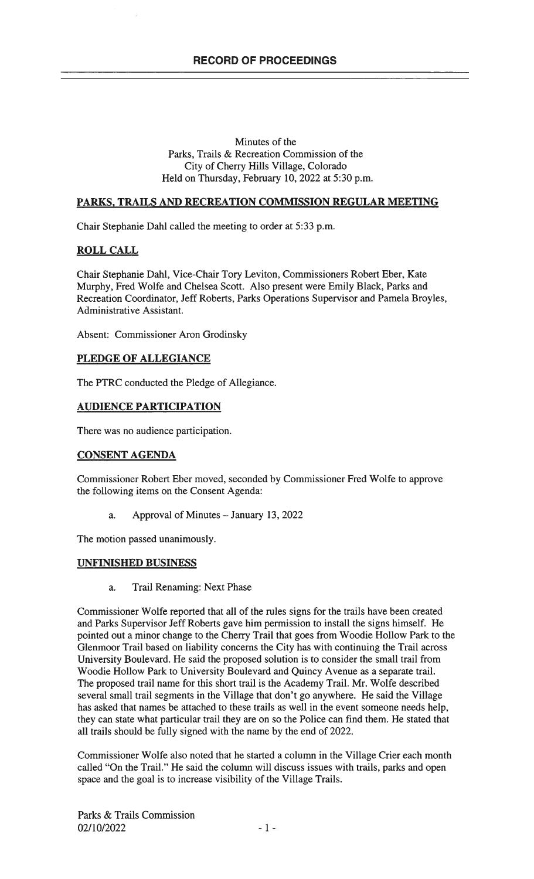#### Minutes of the Parks, Trails & Recreation Commission of the City of Cherry Hills Village, Colorado Held on Thursday, February 10, 2022 at 5:30 p.m.

## PARKS, TRAILS AND RECREATION COMMISSION REGULAR MEETING

Chair Stephanie Dahl called the meeting to order at 5:33 p.m.

### ROLL CALL

Chair Stephanie DahI, Vice-Chair Tory Leviton, Commissioners Robert Eber, Kate Murphy, Fred Wolfe and Chelsea Scott. Also present were Emily Black, Parks and Recreation Coordinator, Jeff Roberts, Parks Operations Supervisor and Pamela Broyles, Administrative Assistant.

Absent: Commissioner Aron Grodinsky

# PLEDGE OF ALLEGIANCE

The PTRC conducted the Pledge of Allegiance.

#### AUDIENCE PARTICIPATION

There was no audience participation.

#### CONSENT AGENDA

Commissioner Robert Eber moved, seconded by Commissioner Fred Wolfe to approve the following items on the Consent Agenda:

a. Approval of Minutes — January 13, 2022

The motion passed unanimously.

#### UNFINISHED BUSINESS

a. Trail Renaming: Next Phase

Commissioner Wolfe reported that all of the rules signs for the trails have been created and Parks Supervisor Jeff Roberts gave him permission to install the signs himself. He pointed out a minor change to the Cherry Trail that goes from Woodie Hollow Park to the Glenmoor Trail based on liability concerns the City has with continuing the Trail across University Boulevard. He said the proposed solution is to consider the small trail from Woodie Hollow Park to University Boulevard and Quincy Avenue as a separate trail. The proposed trail name for this short trail is the Academy Trail. Mr. Wolfe described several small trail segments in the Village that don't go anywhere. He said the Village has asked that names be attached to these trails as well in the event someone needs help, they can state what particular trail they are on so the Police can find them. He stated that all trails should be fully signed with the name by the end of 2022.

Commissioner Wolfe also noted that he started a column in the Village Crier each month called "On the Trail." He said the column will discuss issues with trails, parks and open space and the goal is to increase visibility of the Village Trails.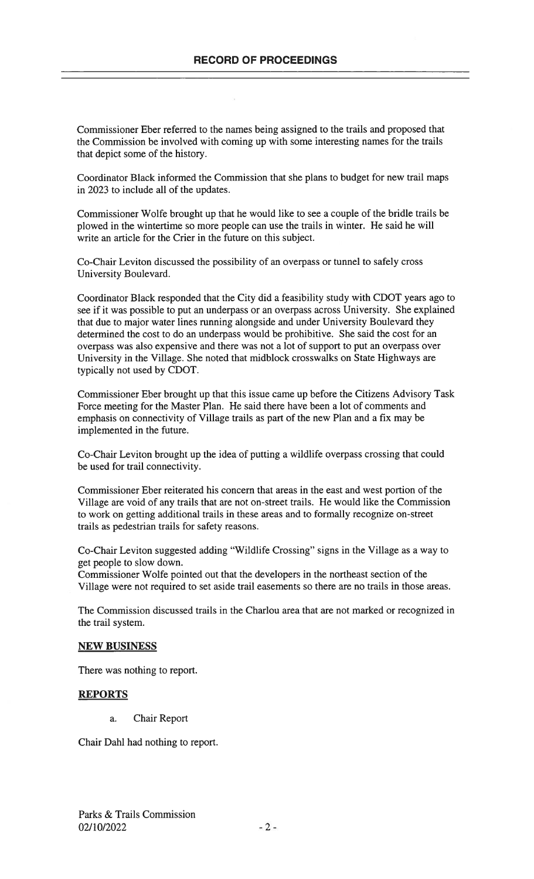Commissioner Eber referred to the names being assigned to the trails and proposed that the Commission be involved with coming up with some interesting names for the trails that depict some of the history.

Coordinator Black informed the Commission that she plans to budget for new trail maps in 2023 to include all of the updates.

Commissioner Wolfe brought up that he would like to see a couple of the bridle trails be plowed in the wintertime so more people can use the trails in winter. He said he will write an article for the Crier in the future on this subject.

Co-Chair Leviton discussed the possibility of an overpass or tunnel to safely cross University Boulevard.

Coordinator Black responded that the City did a feasibility study with CDOT years ago to see if it was possible to put an underpass or an overpass across University. She explained that due to major water lines running alongside and under University Boulevard they determined the cost to do an underpass would be prohibitive. She said the cost for an overpass was also expensive and there was not a lot of support to put an overpass over University in the Village. She noted that midblock crosswalks on State Highways are typically not used by CDOT.

Commissioner Eber brought up that this issue came up before the Citizens Advisory Task Force meeting for the Master Plan. He said there have been a lot of comments and emphasis on connectivity of Village trails as part of the new Plan and a fix may be implemented in the future.

Co-Chair Leviton brought up the idea of putting a wildlife overpass crossing that could be used for trail connectivity.

Commissioner Eber reiterated his concern that areas in the east and west portion of the Village are void of any trails that are not on-street trails. He would like the Commission to work on getting additional trails in these areas and to formally recognize on-street trails as pedestrian trails for safety reasons.

Co-Chair Leviton suggested adding "Wildlife Crossing" signs in the Village as a way to get people to slow down.

Commissioner Wolfe pointed out that the developers in the northeast section of the Village were not required to set aside trail easements so there are no trails in those areas.

The Commission discussed trails in the Charlou area that are not marked or recognized in the trail system.

#### NEW BUSINESS

There was nothing to report.

#### REPORTS

a. Chair Report

Chair Dahl had nothing to report.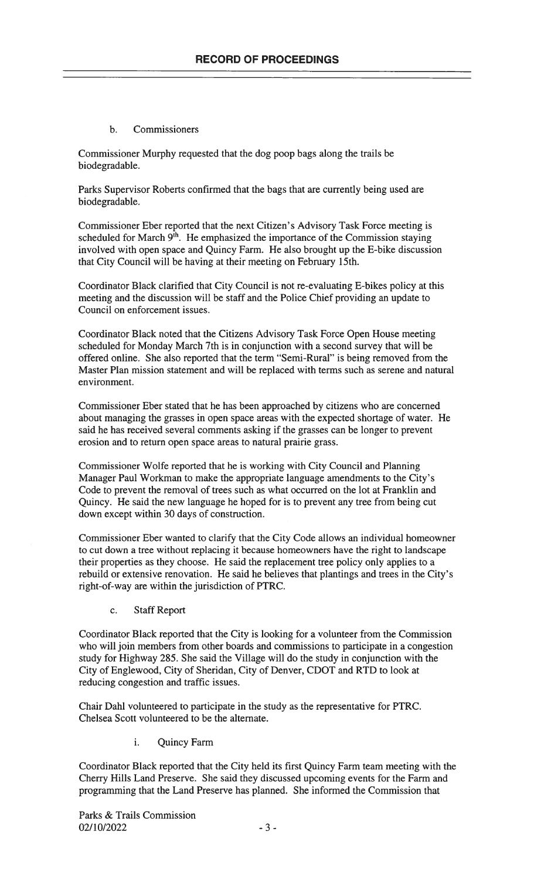#### b. Commissioners

Commissioner Murphy requested that the dog poop bags along the trails be biodegradable.

Parks Supervisor Roberts confirmed that the bags that are currently being used are biodegradable.

Commissioner Eber reported that the next Citizen's Advisory Task Force meeting is scheduled for March  $9<sup>th</sup>$ . He emphasized the importance of the Commission staying involved with open space and Quincy Farm. He also brought up the E-bike discussion that City Council will be having at their meeting on February 15th.

Coordinator Black clarified that City Council is not re-evaluating E-bikes policy at this meeting and the discussion will be staff and the Police Chief providing an update to Council on enforcement issues.

Coordinator Black noted that the Citizens Advisory Task Force Open House meeting scheduled for Monday March 7th is in conjunction with a second survey that will be offered online. She also reported that the term "Semi-Rural" is being removed from the Master Plan mission statement and will be replaced with terms such as serene and natural environment.

Commissioner Eber stated that he has been approached by citizens who are concerned about managing the grasses in open space areas with the expected shortage of water. He said he has received several comments asking if the grasses can be longer to prevent erosion and to return open space areas to natural prairie grass.

Commissioner Wolfe reported that he is working with City Council and Planning Manager Paul Workman to make the appropriate language amendments to the City's Code to prevent the removal of trees such as what occurred on the lot at Franklin and Quincy. He said the new language he hoped for is to prevent any tree from being cut down except within 30 days of construction.

Commissioner Eber wanted to clarify that the City Code allows an individual homeowner to cut down a tree without replacing it because homeowners have the right to landscape their properties as they choose. He said the replacement tree policy only applies to a rebuild or extensive renovation. He said he believes that plantings and trees in the City's right-of-way are within the jurisdiction of PTRC.

c. Staff Report

Coordinator Black reported that the City is looking for a volunteer from the Commission who will join members from other boards and commissions to participate in a congestion study for Highway 285. She said the Village will do the study in conjunction with the City of Englewood, City of Sheridan, City of Denver, CDOT and RTD to look at reducing congestion and traffic issues.

Chair DahI volunteered to participate in the study as the representative for PTRC. Chelsea Scott volunteered to be the alternate.

i. Quincy Farm

Coordinator Black reported that the City held its first Quincy Farm team meeting with the Cherry Hills Land Preserve. She said they discussed upcoming events for the Farm and programming that the Land Preserve has planned. She informed the Commission that